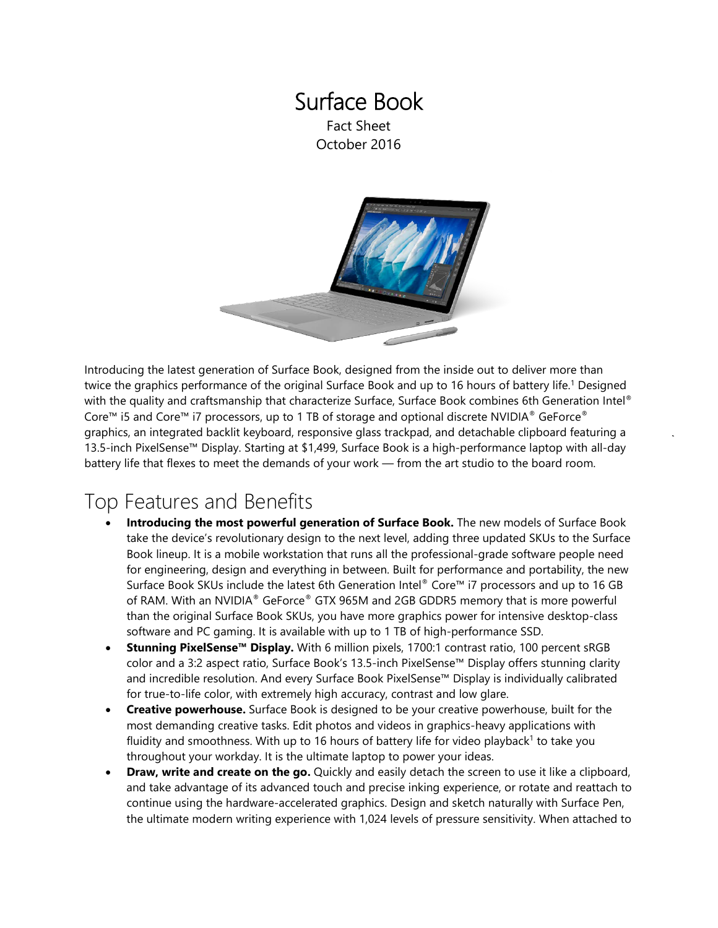### Surface Book Fact Sheet October 2016



Introducing the latest generation of Surface Book, designed from the inside out to deliver more than twice the graphics performance of the original Surface Book and up to 16 hours of battery life. <sup>1</sup> Designed with the quality and craftsmanship that characterize Surface, Surface Book combines 6th Generation Intel® Core™ i5 and Core™ i7 processors, up to 1 TB of storage and optional discrete NVIDIA® GeForce® graphics, an integrated backlit keyboard, responsive glass trackpad, and detachable clipboard featuring a 13.5-inch PixelSense™ Display. Starting at \$1,499, Surface Book is a high-performance laptop with all-day battery life that flexes to meet the demands of your work — from the art studio to the board room.

## Top Features and Benefits

- **Introducing the most powerful generation of Surface Book.** The new models of Surface Book take the device's revolutionary design to the next level, adding three updated SKUs to the Surface Book lineup. It is a mobile workstation that runs all the professional-grade software people need for engineering, design and everything in between. Built for performance and portability, the new Surface Book SKUs include the latest 6th Generation Intel® Core™ i7 processors and up to 16 GB of RAM. With an NVIDIA® GeForce® GTX 965M and 2GB GDDR5 memory that is more powerful than the original Surface Book SKUs, you have more graphics power for intensive desktop-class software and PC gaming. It is available with up to 1 TB of high-performance SSD.
- **Stunning PixelSense™ Display.** With 6 million pixels, 1700:1 contrast ratio, 100 percent sRGB color and a 3:2 aspect ratio, Surface Book's 13.5-inch PixelSense™ Display offers stunning clarity and incredible resolution. And every Surface Book PixelSense™ Display is individually calibrated for true-to-life color, with extremely high accuracy, contrast and low glare.
- **Creative powerhouse.** Surface Book is designed to be your creative powerhouse, built for the most demanding creative tasks. Edit photos and videos in graphics-heavy applications with fluidity and smoothness. With up to 16 hours of battery life for video playback<sup>1</sup> to take you throughout your workday. It is the ultimate laptop to power your ideas.
- **Draw, write and create on the go.** Quickly and easily detach the screen to use it like a clipboard, and take advantage of its advanced touch and precise inking experience, or rotate and reattach to continue using the hardware-accelerated graphics. Design and sketch naturally with Surface Pen, the ultimate modern writing experience with 1,024 levels of pressure sensitivity. When attached to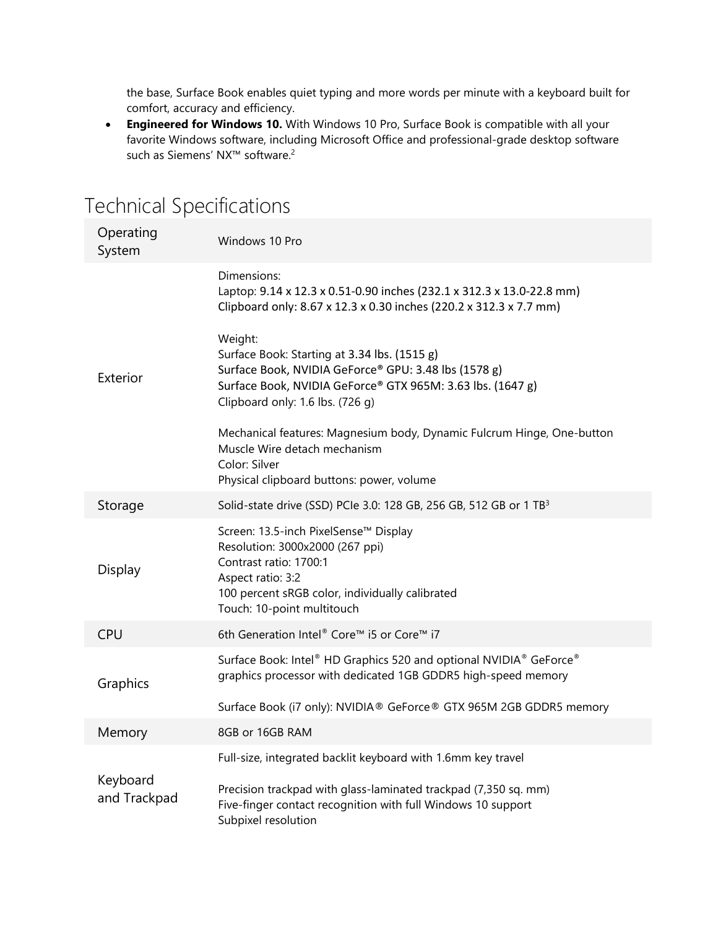the base, Surface Book enables quiet typing and more words per minute with a keyboard built for comfort, accuracy and efficiency.

• **Engineered for Windows 10.** With Windows 10 Pro, Surface Book is compatible with all your favorite Windows software, including Microsoft Office and professional-grade desktop software such as Siemens' NX™ software. 2

| Operating<br>System      | Windows 10 Pro                                                                                                                                                                                                    |
|--------------------------|-------------------------------------------------------------------------------------------------------------------------------------------------------------------------------------------------------------------|
| Exterior                 | Dimensions:<br>Laptop: 9.14 x 12.3 x 0.51-0.90 inches (232.1 x 312.3 x 13.0-22.8 mm)<br>Clipboard only: 8.67 x 12.3 x 0.30 inches (220.2 x 312.3 x 7.7 mm)                                                        |
|                          | Weight:<br>Surface Book: Starting at 3.34 lbs. (1515 g)<br>Surface Book, NVIDIA GeForce® GPU: 3.48 lbs (1578 g)<br>Surface Book, NVIDIA GeForce® GTX 965M: 3.63 lbs. (1647 g)<br>Clipboard only: 1.6 lbs. (726 g) |
|                          | Mechanical features: Magnesium body, Dynamic Fulcrum Hinge, One-button<br>Muscle Wire detach mechanism<br>Color: Silver<br>Physical clipboard buttons: power, volume                                              |
| Storage                  | Solid-state drive (SSD) PCIe 3.0: 128 GB, 256 GB, 512 GB or 1 TB <sup>3</sup>                                                                                                                                     |
| Display                  | Screen: 13.5-inch PixelSense™ Display<br>Resolution: 3000x2000 (267 ppi)<br>Contrast ratio: 1700:1<br>Aspect ratio: 3:2<br>100 percent sRGB color, individually calibrated<br>Touch: 10-point multitouch          |
| <b>CPU</b>               | 6th Generation Intel® Core™ i5 or Core™ i7                                                                                                                                                                        |
| Graphics                 | Surface Book: Intel® HD Graphics 520 and optional NVIDIA® GeForce®<br>graphics processor with dedicated 1GB GDDR5 high-speed memory                                                                               |
|                          | Surface Book (i7 only): NVIDIA® GeForce® GTX 965M 2GB GDDR5 memory                                                                                                                                                |
| Memory                   | 8GB or 16GB RAM                                                                                                                                                                                                   |
| Keyboard<br>and Trackpad | Full-size, integrated backlit keyboard with 1.6mm key travel                                                                                                                                                      |
|                          | Precision trackpad with glass-laminated trackpad (7,350 sq. mm)<br>Five-finger contact recognition with full Windows 10 support<br>Subpixel resolution                                                            |

# Technical Specifications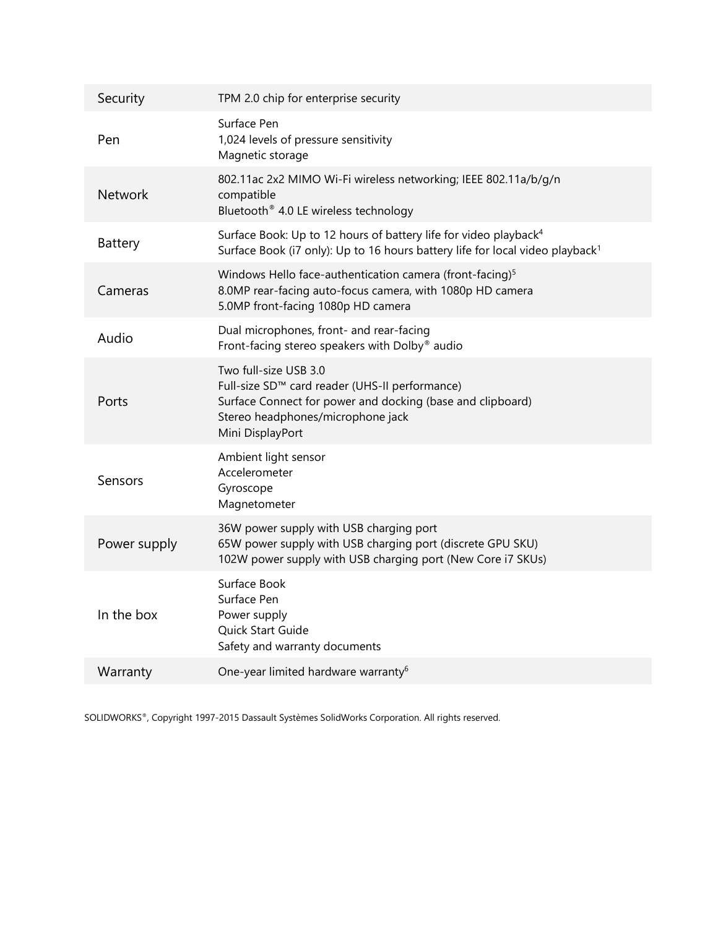| Security       | TPM 2.0 chip for enterprise security                                                                                                                                                           |
|----------------|------------------------------------------------------------------------------------------------------------------------------------------------------------------------------------------------|
| Pen            | Surface Pen<br>1,024 levels of pressure sensitivity<br>Magnetic storage                                                                                                                        |
| <b>Network</b> | 802.11ac 2x2 MIMO Wi-Fi wireless networking; IEEE 802.11a/b/g/n<br>compatible<br>Bluetooth® 4.0 LE wireless technology                                                                         |
| Battery        | Surface Book: Up to 12 hours of battery life for video playback <sup>4</sup><br>Surface Book (i7 only): Up to 16 hours battery life for local video playback <sup>1</sup>                      |
| Cameras        | Windows Hello face-authentication camera (front-facing) <sup>5</sup><br>8.0MP rear-facing auto-focus camera, with 1080p HD camera<br>5.0MP front-facing 1080p HD camera                        |
| Audio          | Dual microphones, front- and rear-facing<br>Front-facing stereo speakers with Dolby® audio                                                                                                     |
| Ports          | Two full-size USB 3.0<br>Full-size SD™ card reader (UHS-II performance)<br>Surface Connect for power and docking (base and clipboard)<br>Stereo headphones/microphone jack<br>Mini DisplayPort |
| Sensors        | Ambient light sensor<br>Accelerometer<br>Gyroscope<br>Magnetometer                                                                                                                             |
| Power supply   | 36W power supply with USB charging port<br>65W power supply with USB charging port (discrete GPU SKU)<br>102W power supply with USB charging port (New Core i7 SKUs)                           |
| In the box     | Surface Book<br>Surface Pen<br>Power supply<br>Quick Start Guide<br>Safety and warranty documents                                                                                              |
| Warranty       | One-year limited hardware warranty <sup>6</sup>                                                                                                                                                |

SOLIDWORKS®, Copyright 1997-2015 Dassault Systèmes SolidWorks Corporation. All rights reserved.